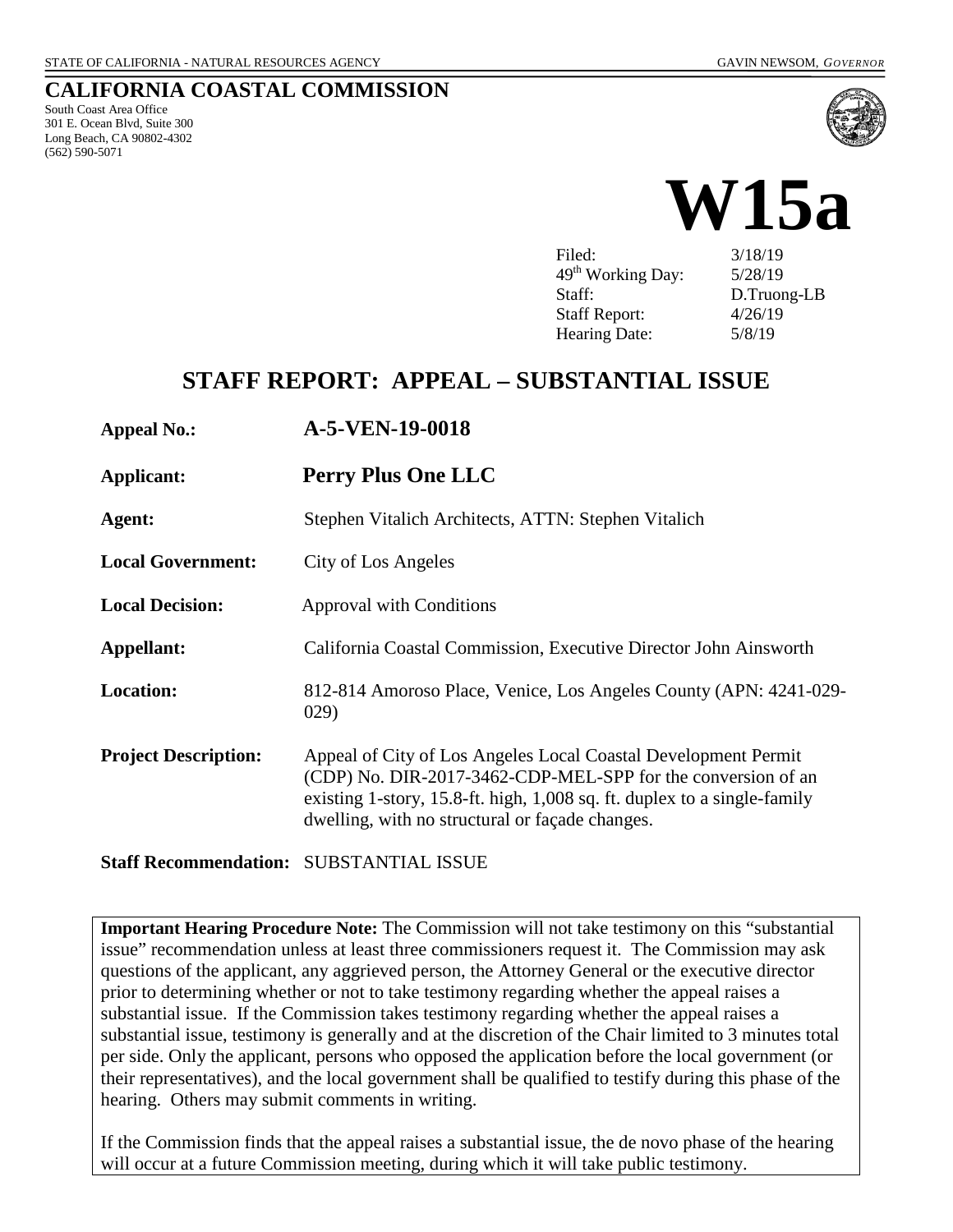## **CALIFORNIA COASTAL COMMISSION**

South Coast Area Office 301 E. Ocean Blvd, Suite 300 Long Beach, CA 90802-4302 (562) 590-5071





Filed: 3/18/19  $49<sup>th</sup>$  Working Day:  $5/28/19$ Staff: D.Truong-LB Staff Report: 4/26/19 Hearing Date:  $5/8/19$ 

# **STAFF REPORT: APPEAL – SUBSTANTIAL ISSUE**

**Appeal No.: A-5-VEN-19-0018** 

**Applicant: Perry Plus One LLC**

**Agent:** Stephen Vitalich Architects, ATTN: Stephen Vitalich

**Local Government:** City of Los Angeles

**Local Decision:** Approval with Conditions

**Appellant:** California Coastal Commission, Executive Director John Ainsworth

- **Location:** 812-814 Amoroso Place, Venice, Los Angeles County (APN: 4241-029- 029)
- **Project Description:** Appeal of City of Los Angeles Local Coastal Development Permit (CDP) No. DIR-2017-3462-CDP-MEL-SPP for the conversion of an existing 1-story, 15.8-ft. high, 1,008 sq. ft. duplex to a single-family dwelling, with no structural or façade changes.

**Staff Recommendation:** SUBSTANTIAL ISSUE

**Important Hearing Procedure Note:** The Commission will not take testimony on this "substantial issue" recommendation unless at least three commissioners request it. The Commission may ask questions of the applicant, any aggrieved person, the Attorney General or the executive director prior to determining whether or not to take testimony regarding whether the appeal raises a substantial issue. If the Commission takes testimony regarding whether the appeal raises a substantial issue, testimony is generally and at the discretion of the Chair limited to 3 minutes total per side. Only the applicant, persons who opposed the application before the local government (or their representatives), and the local government shall be qualified to testify during this phase of the hearing. Others may submit comments in writing.

If the Commission finds that the appeal raises a substantial issue, the de novo phase of the hearing will occur at a future Commission meeting, during which it will take public testimony.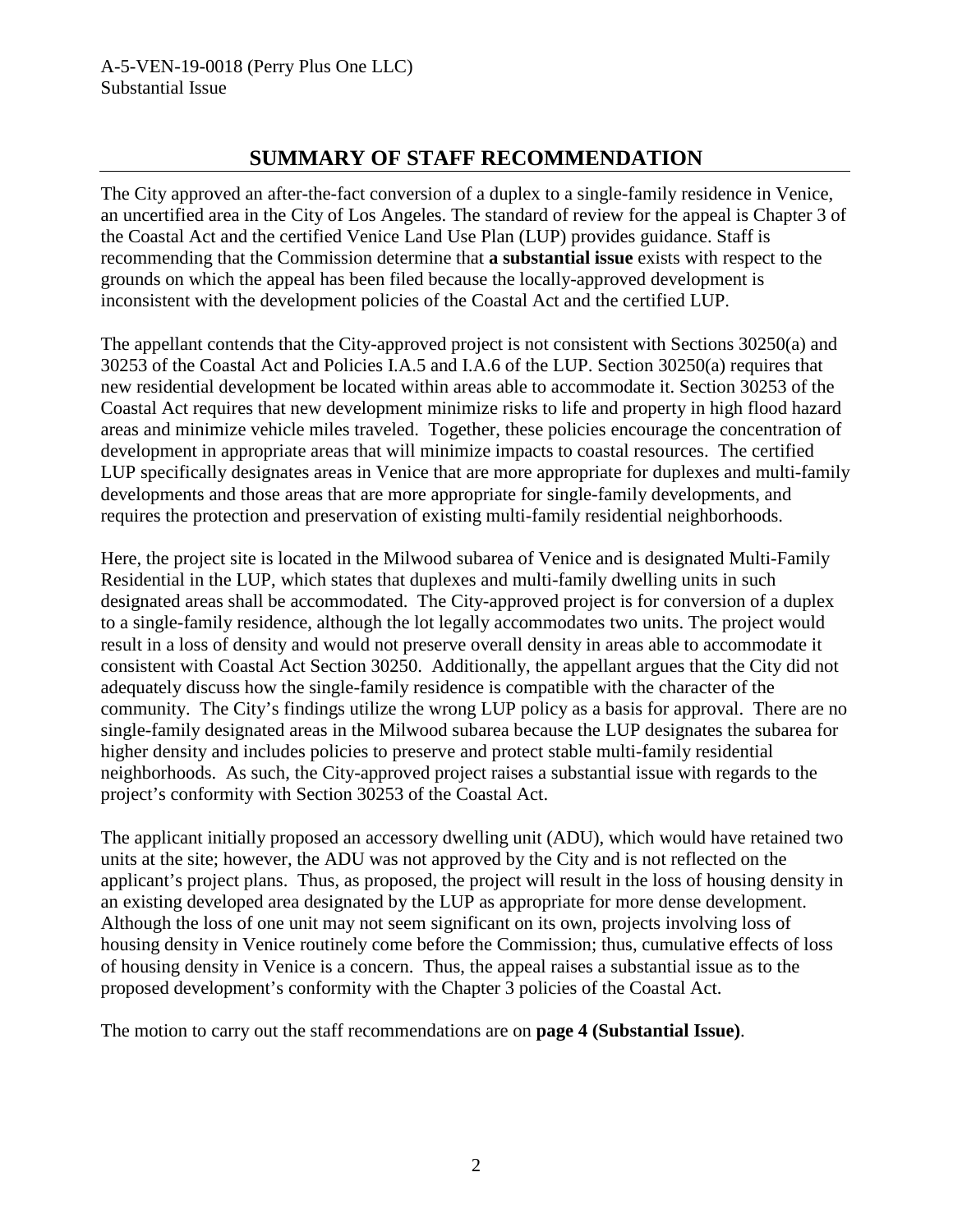## **SUMMARY OF STAFF RECOMMENDATION**

The City approved an after-the-fact conversion of a duplex to a single-family residence in Venice, an uncertified area in the City of Los Angeles. The standard of review for the appeal is Chapter 3 of the Coastal Act and the certified Venice Land Use Plan (LUP) provides guidance. Staff is recommending that the Commission determine that **a substantial issue** exists with respect to the grounds on which the appeal has been filed because the locally-approved development is inconsistent with the development policies of the Coastal Act and the certified LUP.

The appellant contends that the City-approved project is not consistent with Sections 30250(a) and 30253 of the Coastal Act and Policies I.A.5 and I.A.6 of the LUP. Section 30250(a) requires that new residential development be located within areas able to accommodate it. Section 30253 of the Coastal Act requires that new development minimize risks to life and property in high flood hazard areas and minimize vehicle miles traveled. Together, these policies encourage the concentration of development in appropriate areas that will minimize impacts to coastal resources. The certified LUP specifically designates areas in Venice that are more appropriate for duplexes and multi-family developments and those areas that are more appropriate for single-family developments, and requires the protection and preservation of existing multi-family residential neighborhoods.

Here, the project site is located in the Milwood subarea of Venice and is designated Multi-Family Residential in the LUP, which states that duplexes and multi-family dwelling units in such designated areas shall be accommodated. The City-approved project is for conversion of a duplex to a single-family residence, although the lot legally accommodates two units. The project would result in a loss of density and would not preserve overall density in areas able to accommodate it consistent with Coastal Act Section 30250. Additionally, the appellant argues that the City did not adequately discuss how the single-family residence is compatible with the character of the community. The City's findings utilize the wrong LUP policy as a basis for approval. There are no single-family designated areas in the Milwood subarea because the LUP designates the subarea for higher density and includes policies to preserve and protect stable multi-family residential neighborhoods. As such, the City-approved project raises a substantial issue with regards to the project's conformity with Section 30253 of the Coastal Act.

The applicant initially proposed an accessory dwelling unit (ADU), which would have retained two units at the site; however, the ADU was not approved by the City and is not reflected on the applicant's project plans. Thus, as proposed, the project will result in the loss of housing density in an existing developed area designated by the LUP as appropriate for more dense development. Although the loss of one unit may not seem significant on its own, projects involving loss of housing density in Venice routinely come before the Commission; thus, cumulative effects of loss of housing density in Venice is a concern. Thus, the appeal raises a substantial issue as to the proposed development's conformity with the Chapter 3 policies of the Coastal Act.

The motion to carry out the staff recommendations are on **page 4 (Substantial Issue)**.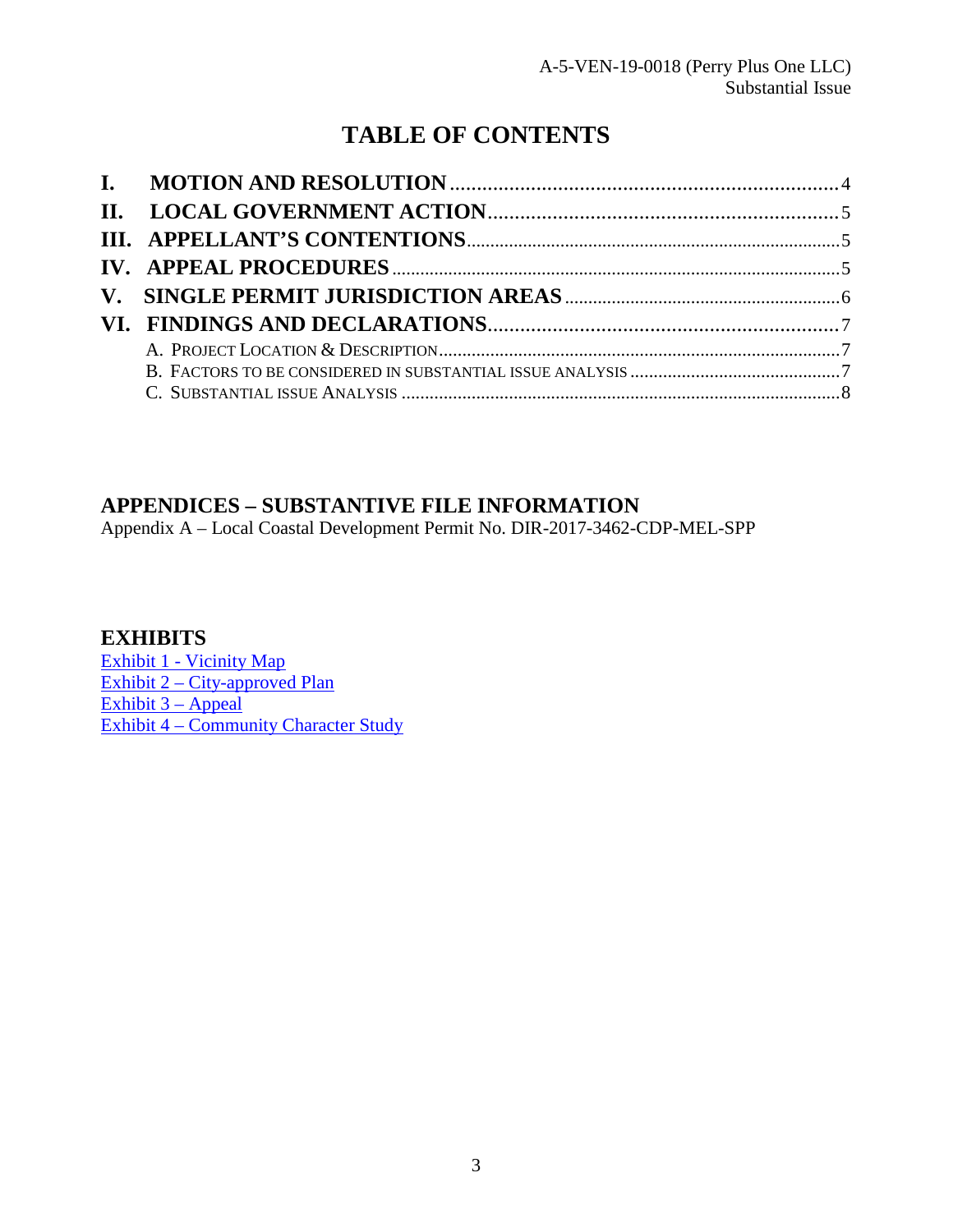# **TABLE OF CONTENTS**

## **APPENDICES – SUBSTANTIVE FILE INFORMATION**

Appendix A – Local Coastal Development Permit No. DIR-2017-3462-CDP-MEL-SPP

## **EXHIBITS**

[Exhibit 1 - Vicinity Map](https://documents.coastal.ca.gov/reports/2019/5/w15a/w15a-5-2019-exhibits.pdf) [Exhibit 2 – City-approved Plan](https://documents.coastal.ca.gov/reports/2019/5/w15a/w15a-5-2019-exhibits.pdf) Exhibit  $3 -$  Appeal [Exhibit 4 – Community Character Study](https://documents.coastal.ca.gov/reports/2019/5/w15a/w15a-5-2019-exhibits.pdf)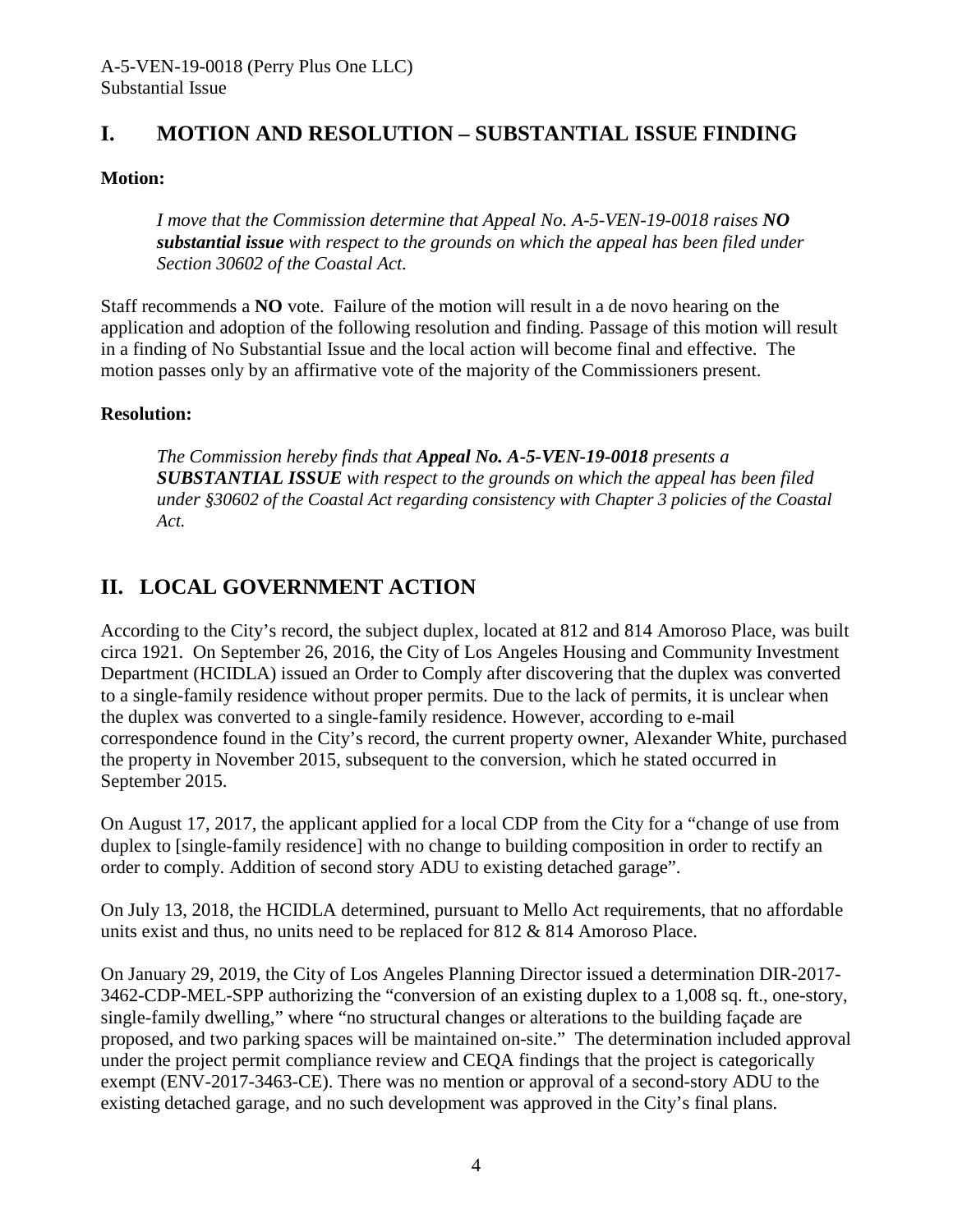## <span id="page-3-0"></span>**I. MOTION AND RESOLUTION – SUBSTANTIAL ISSUE FINDING**

#### **Motion:**

*I move that the Commission determine that Appeal No. A-5-VEN-19-0018 raises NO substantial issue with respect to the grounds on which the appeal has been filed under Section 30602 of the Coastal Act.* 

Staff recommends a **NO** vote. Failure of the motion will result in a de novo hearing on the application and adoption of the following resolution and finding. Passage of this motion will result in a finding of No Substantial Issue and the local action will become final and effective. The motion passes only by an affirmative vote of the majority of the Commissioners present.

#### **Resolution:**

*The Commission hereby finds that Appeal No. A-5-VEN-19-0018 presents a SUBSTANTIAL ISSUE with respect to the grounds on which the appeal has been filed under §30602 of the Coastal Act regarding consistency with Chapter 3 policies of the Coastal Act.* 

## <span id="page-3-1"></span>**II. LOCAL GOVERNMENT ACTION**

According to the City's record, the subject duplex, located at 812 and 814 Amoroso Place, was built circa 1921. On September 26, 2016, the City of Los Angeles Housing and Community Investment Department (HCIDLA) issued an Order to Comply after discovering that the duplex was converted to a single-family residence without proper permits. Due to the lack of permits, it is unclear when the duplex was converted to a single-family residence. However, according to e-mail correspondence found in the City's record, the current property owner, Alexander White, purchased the property in November 2015, subsequent to the conversion, which he stated occurred in September 2015.

On August 17, 2017, the applicant applied for a local CDP from the City for a "change of use from duplex to [single-family residence] with no change to building composition in order to rectify an order to comply. Addition of second story ADU to existing detached garage".

On July 13, 2018, the HCIDLA determined, pursuant to Mello Act requirements, that no affordable units exist and thus, no units need to be replaced for 812 & 814 Amoroso Place.

On January 29, 2019, the City of Los Angeles Planning Director issued a determination DIR-2017- 3462-CDP-MEL-SPP authorizing the "conversion of an existing duplex to a 1,008 sq. ft., one-story, single-family dwelling," where "no structural changes or alterations to the building façade are proposed, and two parking spaces will be maintained on-site." The determination included approval under the project permit compliance review and CEQA findings that the project is categorically exempt (ENV-2017-3463-CE). There was no mention or approval of a second-story ADU to the existing detached garage, and no such development was approved in the City's final plans.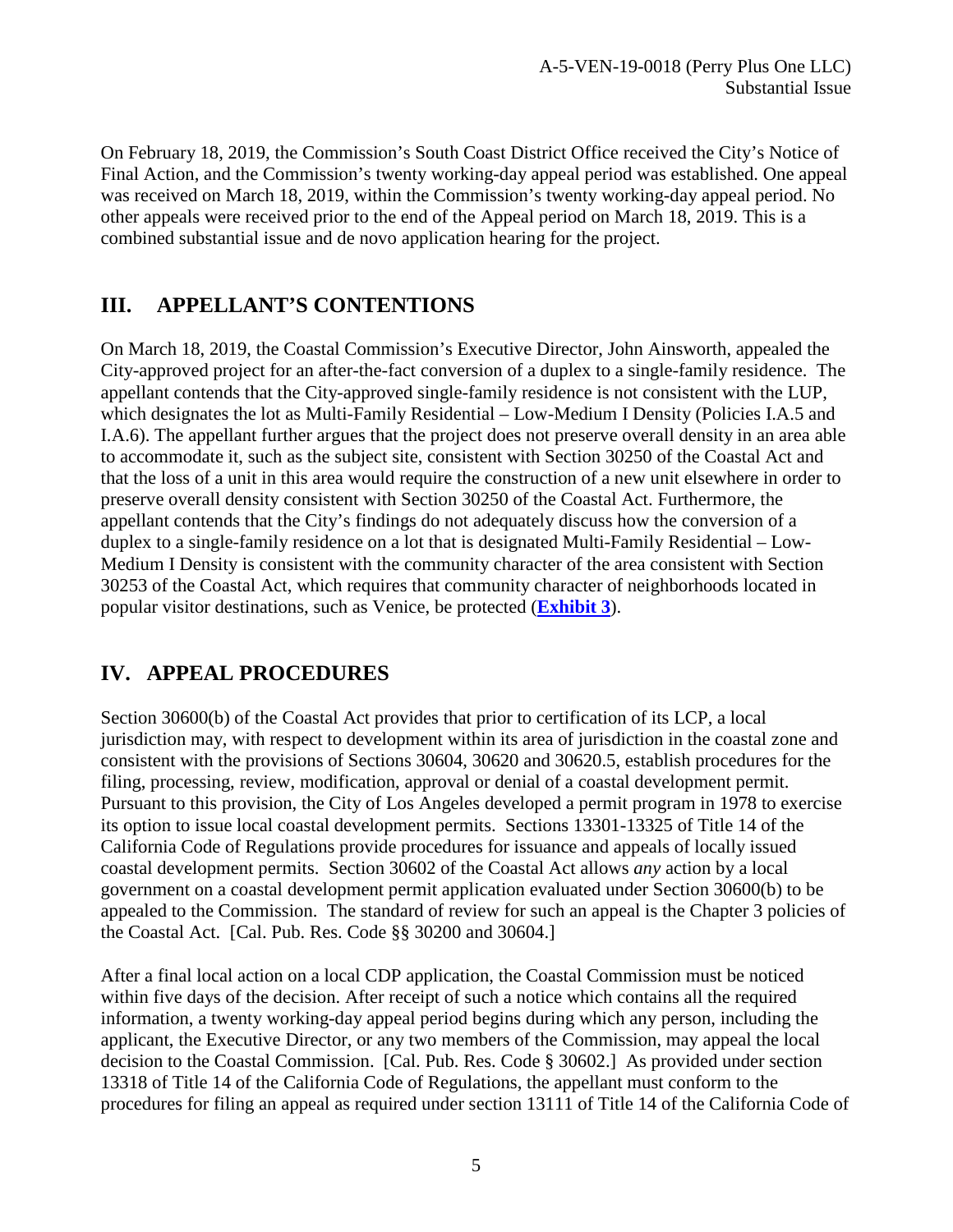On February 18, 2019, the Commission's South Coast District Office received the City's Notice of Final Action, and the Commission's twenty working-day appeal period was established. One appeal was received on March 18, 2019, within the Commission's twenty working-day appeal period. No other appeals were received prior to the end of the Appeal period on March 18, 2019. This is a combined substantial issue and de novo application hearing for the project.

## <span id="page-4-0"></span>**III. APPELLANT'S CONTENTIONS**

On March 18, 2019, the Coastal Commission's Executive Director, John Ainsworth, appealed the City-approved project for an after-the-fact conversion of a duplex to a single-family residence. The appellant contends that the City-approved single-family residence is not consistent with the LUP, which designates the lot as Multi-Family Residential – Low-Medium I Density (Policies I.A.5 and I.A.6). The appellant further argues that the project does not preserve overall density in an area able to accommodate it, such as the subject site, consistent with Section 30250 of the Coastal Act and that the loss of a unit in this area would require the construction of a new unit elsewhere in order to preserve overall density consistent with Section 30250 of the Coastal Act. Furthermore, the appellant contends that the City's findings do not adequately discuss how the conversion of a duplex to a single-family residence on a lot that is designated Multi-Family Residential – Low-Medium I Density is consistent with the community character of the area consistent with Section 30253 of the Coastal Act, which requires that community character of neighborhoods located in popular visitor destinations, such as Venice, be protected (**[Exhibit 3](https://documents.coastal.ca.gov/reports/2019/5/w15a/w15a-5-2019-exhibits.pdf)**).

# <span id="page-4-1"></span>**IV. APPEAL PROCEDURES**

Section 30600(b) of the Coastal Act provides that prior to certification of its LCP, a local jurisdiction may, with respect to development within its area of jurisdiction in the coastal zone and consistent with the provisions of Sections 30604, 30620 and 30620.5, establish procedures for the filing, processing, review, modification, approval or denial of a coastal development permit. Pursuant to this provision, the City of Los Angeles developed a permit program in 1978 to exercise its option to issue local coastal development permits. Sections 13301-13325 of Title 14 of the California Code of Regulations provide procedures for issuance and appeals of locally issued coastal development permits. Section 30602 of the Coastal Act allows *any* action by a local government on a coastal development permit application evaluated under Section 30600(b) to be appealed to the Commission. The standard of review for such an appeal is the Chapter 3 policies of the Coastal Act. [Cal. Pub. Res. Code §§ 30200 and 30604.]

After a final local action on a local CDP application, the Coastal Commission must be noticed within five days of the decision. After receipt of such a notice which contains all the required information, a twenty working-day appeal period begins during which any person, including the applicant, the Executive Director, or any two members of the Commission, may appeal the local decision to the Coastal Commission. [Cal. Pub. Res. Code § 30602.] As provided under section 13318 of Title 14 of the California Code of Regulations, the appellant must conform to the procedures for filing an appeal as required under section 13111 of Title 14 of the California Code of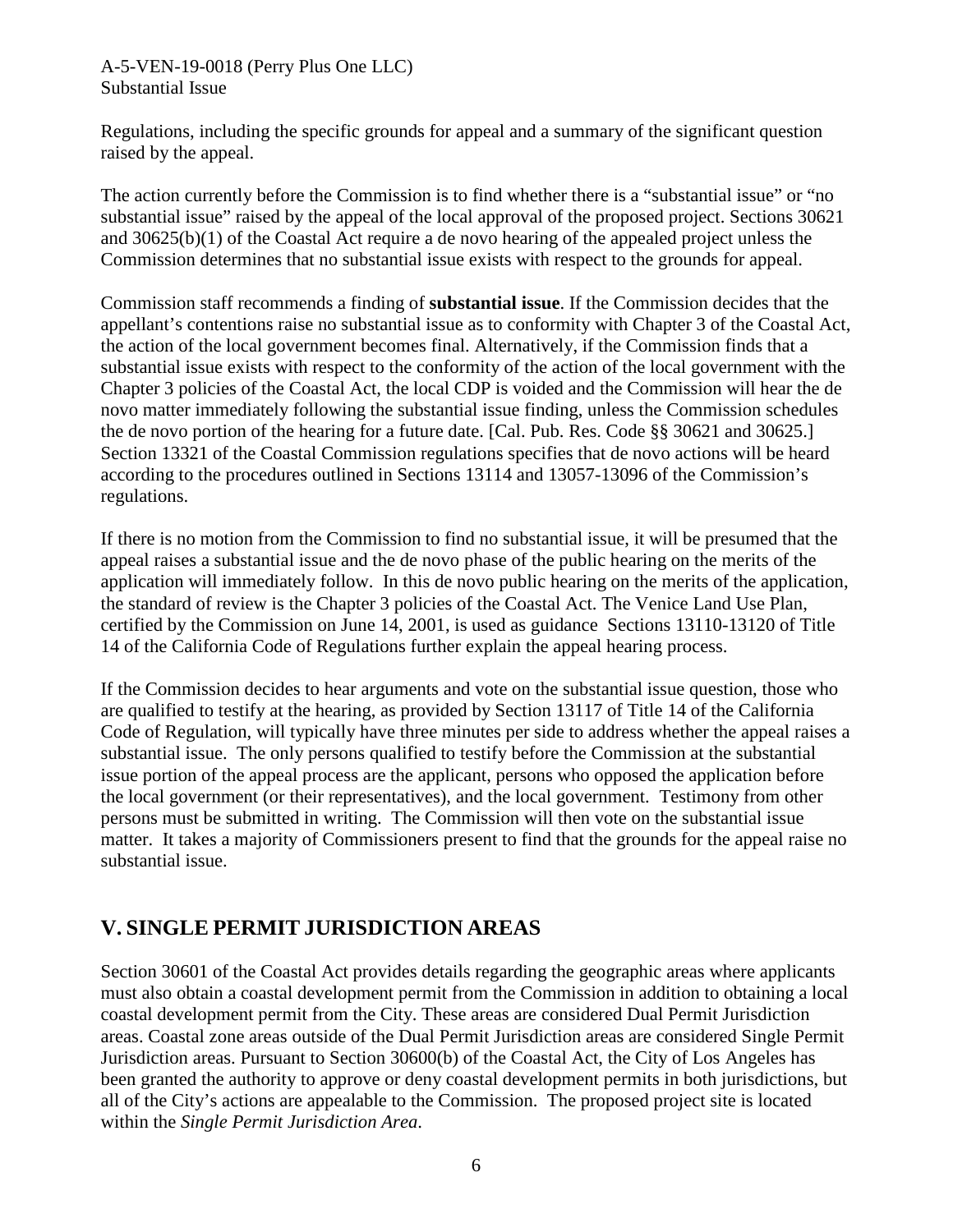#### A-5-VEN-19-0018 (Perry Plus One LLC) Substantial Issue

Regulations, including the specific grounds for appeal and a summary of the significant question raised by the appeal.

The action currently before the Commission is to find whether there is a "substantial issue" or "no substantial issue" raised by the appeal of the local approval of the proposed project. Sections 30621 and 30625(b)(1) of the Coastal Act require a de novo hearing of the appealed project unless the Commission determines that no substantial issue exists with respect to the grounds for appeal.

Commission staff recommends a finding of **substantial issue**. If the Commission decides that the appellant's contentions raise no substantial issue as to conformity with Chapter 3 of the Coastal Act, the action of the local government becomes final. Alternatively, if the Commission finds that a substantial issue exists with respect to the conformity of the action of the local government with the Chapter 3 policies of the Coastal Act, the local CDP is voided and the Commission will hear the de novo matter immediately following the substantial issue finding, unless the Commission schedules the de novo portion of the hearing for a future date. [Cal. Pub. Res. Code §§ 30621 and 30625.] Section 13321 of the Coastal Commission regulations specifies that de novo actions will be heard according to the procedures outlined in Sections 13114 and 13057-13096 of the Commission's regulations.

If there is no motion from the Commission to find no substantial issue, it will be presumed that the appeal raises a substantial issue and the de novo phase of the public hearing on the merits of the application will immediately follow. In this de novo public hearing on the merits of the application, the standard of review is the Chapter 3 policies of the Coastal Act. The Venice Land Use Plan, certified by the Commission on June 14, 2001, is used as guidance Sections 13110-13120 of Title 14 of the California Code of Regulations further explain the appeal hearing process.

If the Commission decides to hear arguments and vote on the substantial issue question, those who are qualified to testify at the hearing, as provided by Section 13117 of Title 14 of the California Code of Regulation, will typically have three minutes per side to address whether the appeal raises a substantial issue. The only persons qualified to testify before the Commission at the substantial issue portion of the appeal process are the applicant, persons who opposed the application before the local government (or their representatives), and the local government. Testimony from other persons must be submitted in writing. The Commission will then vote on the substantial issue matter. It takes a majority of Commissioners present to find that the grounds for the appeal raise no substantial issue.

# <span id="page-5-0"></span>**V. SINGLE PERMIT JURISDICTION AREAS**

Section 30601 of the Coastal Act provides details regarding the geographic areas where applicants must also obtain a coastal development permit from the Commission in addition to obtaining a local coastal development permit from the City. These areas are considered Dual Permit Jurisdiction areas. Coastal zone areas outside of the Dual Permit Jurisdiction areas are considered Single Permit Jurisdiction areas. Pursuant to Section 30600(b) of the Coastal Act, the City of Los Angeles has been granted the authority to approve or deny coastal development permits in both jurisdictions, but all of the City's actions are appealable to the Commission. The proposed project site is located within the *Single Permit Jurisdiction Area*.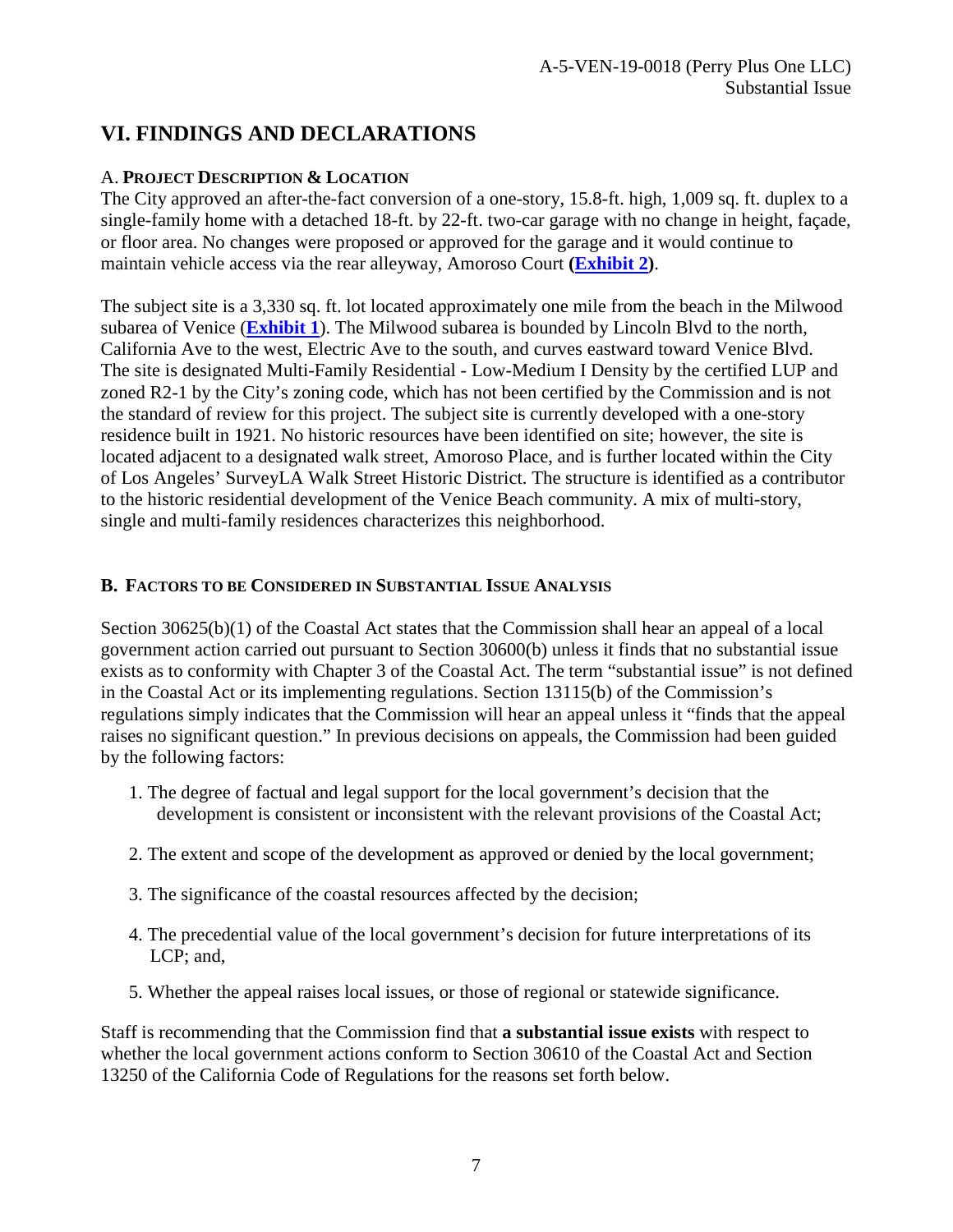## <span id="page-6-0"></span>**VI. FINDINGS AND DECLARATIONS**

### A. **PROJECT DESCRIPTION & LOCATION**

The City approved an after-the-fact conversion of a one-story, 15.8-ft. high, 1,009 sq. ft. duplex to a single-family home with a detached 18-ft. by 22-ft. two-car garage with no change in height, façade, or floor area. No changes were proposed or approved for the garage and it would continue to maintain vehicle access via the rear alleyway, Amoroso Court **[\(Exhibit 2\)](https://documents.coastal.ca.gov/reports/2019/5/w15a/w15a-5-2019-exhibits.pdf)**.

The subject site is a 3,330 sq. ft. lot located approximately one mile from the beach in the Milwood subarea of Venice (**[Exhibit 1](https://documents.coastal.ca.gov/reports/2019/5/w15a/w15a-5-2019-exhibits.pdf)**). The Milwood subarea is bounded by Lincoln Blvd to the north, California Ave to the west, Electric Ave to the south, and curves eastward toward Venice Blvd. The site is designated Multi-Family Residential - Low-Medium I Density by the certified LUP and zoned R2-1 by the City's zoning code, which has not been certified by the Commission and is not the standard of review for this project. The subject site is currently developed with a one-story residence built in 1921. No historic resources have been identified on site; however, the site is located adjacent to a designated walk street, Amoroso Place, and is further located within the City of Los Angeles' SurveyLA Walk Street Historic District. The structure is identified as a contributor to the historic residential development of the Venice Beach community. A mix of multi-story, single and multi-family residences characterizes this neighborhood.

### <span id="page-6-1"></span>**B. FACTORS TO BE CONSIDERED IN SUBSTANTIAL ISSUE ANALYSIS**

Section 30625(b)(1) of the Coastal Act states that the Commission shall hear an appeal of a local government action carried out pursuant to Section 30600(b) unless it finds that no substantial issue exists as to conformity with Chapter 3 of the Coastal Act. The term "substantial issue" is not defined in the Coastal Act or its implementing regulations. Section 13115(b) of the Commission's regulations simply indicates that the Commission will hear an appeal unless it "finds that the appeal raises no significant question." In previous decisions on appeals, the Commission had been guided by the following factors:

- 1. The degree of factual and legal support for the local government's decision that the development is consistent or inconsistent with the relevant provisions of the Coastal Act;
- 2. The extent and scope of the development as approved or denied by the local government;
- 3. The significance of the coastal resources affected by the decision;
- 4. The precedential value of the local government's decision for future interpretations of its LCP; and,
- 5. Whether the appeal raises local issues, or those of regional or statewide significance.

Staff is recommending that the Commission find that **a substantial issue exists** with respect to whether the local government actions conform to Section 30610 of the Coastal Act and Section 13250 of the California Code of Regulations for the reasons set forth below.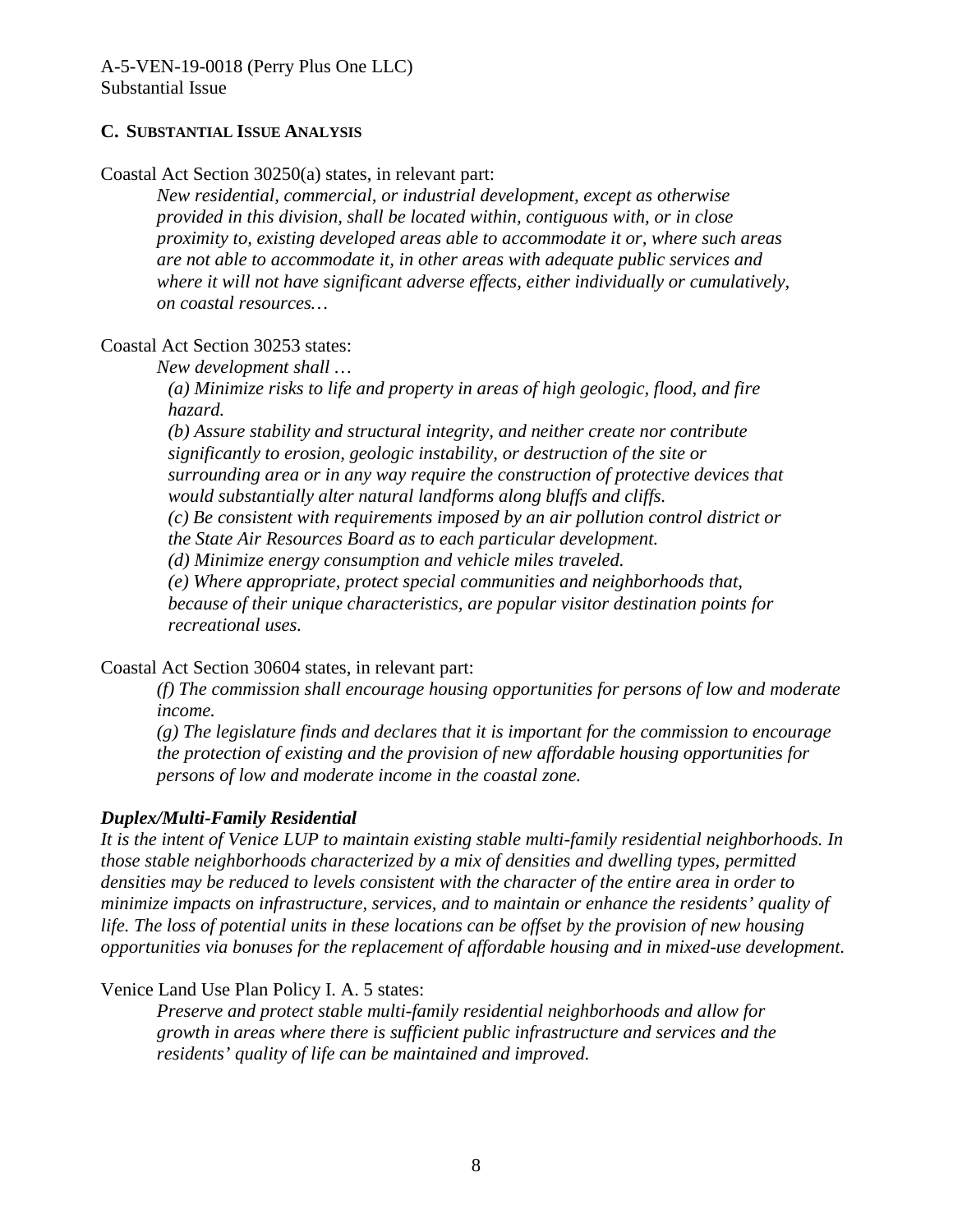#### <span id="page-7-0"></span>**C. SUBSTANTIAL ISSUE ANALYSIS**

Coastal Act Section 30250(a) states, in relevant part:

*New residential, commercial, or industrial development, except as otherwise provided in this division, shall be located within, contiguous with, or in close proximity to, existing developed areas able to accommodate it or, where such areas are not able to accommodate it, in other areas with adequate public services and where it will not have significant adverse effects, either individually or cumulatively, on coastal resources…* 

Coastal Act Section 30253 states:

*New development shall …* 

*(a) Minimize risks to life and property in areas of high geologic, flood, and fire hazard.* 

*(b) Assure stability and structural integrity, and neither create nor contribute significantly to erosion, geologic instability, or destruction of the site or surrounding area or in any way require the construction of protective devices that would substantially alter natural landforms along bluffs and cliffs.* 

*(c) Be consistent with requirements imposed by an air pollution control district or the State Air Resources Board as to each particular development.* 

*(d) Minimize energy consumption and vehicle miles traveled.* 

*(e) Where appropriate, protect special communities and neighborhoods that, because of their unique characteristics, are popular visitor destination points for recreational uses.* 

Coastal Act Section 30604 states, in relevant part:

*(f) The commission shall encourage housing opportunities for persons of low and moderate income.*

*(g) The legislature finds and declares that it is important for the commission to encourage the protection of existing and the provision of new affordable housing opportunities for persons of low and moderate income in the coastal zone.* 

#### *Duplex/Multi-Family Residential*

*It is the intent of Venice LUP to maintain existing stable multi-family residential neighborhoods. In those stable neighborhoods characterized by a mix of densities and dwelling types, permitted densities may be reduced to levels consistent with the character of the entire area in order to minimize impacts on infrastructure, services, and to maintain or enhance the residents' quality of life. The loss of potential units in these locations can be offset by the provision of new housing opportunities via bonuses for the replacement of affordable housing and in mixed-use development.*

Venice Land Use Plan Policy I. A. 5 states:

*Preserve and protect stable multi-family residential neighborhoods and allow for growth in areas where there is sufficient public infrastructure and services and the residents' quality of life can be maintained and improved.*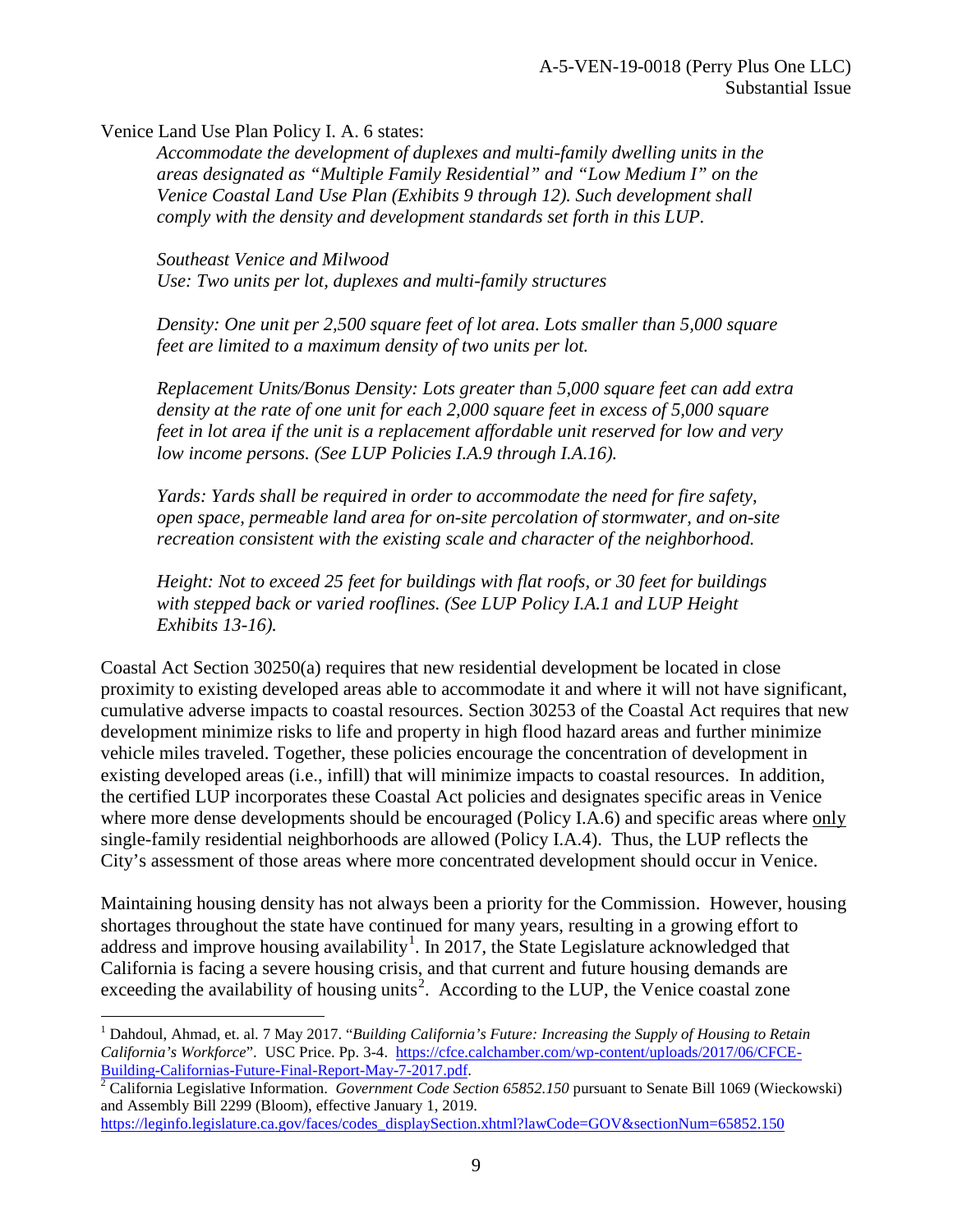Venice Land Use Plan Policy I. A. 6 states:

 $\overline{a}$ 

*Accommodate the development of duplexes and multi-family dwelling units in the areas designated as "Multiple Family Residential" and "Low Medium I" on the Venice Coastal Land Use Plan (Exhibits 9 through 12). Such development shall comply with the density and development standards set forth in this LUP.* 

*Southeast Venice and Milwood Use: Two units per lot, duplexes and multi-family structures*

*Density: One unit per 2,500 square feet of lot area. Lots smaller than 5,000 square feet are limited to a maximum density of two units per lot.*

*Replacement Units/Bonus Density: Lots greater than 5,000 square feet can add extra density at the rate of one unit for each 2,000 square feet in excess of 5,000 square feet in lot area if the unit is a replacement affordable unit reserved for low and very low income persons. (See LUP Policies I.A.9 through I.A.16).* 

*Yards: Yards shall be required in order to accommodate the need for fire safety, open space, permeable land area for on-site percolation of stormwater, and on-site recreation consistent with the existing scale and character of the neighborhood.* 

*Height: Not to exceed 25 feet for buildings with flat roofs, or 30 feet for buildings with stepped back or varied rooflines. (See LUP Policy I.A.1 and LUP Height Exhibits 13-16).* 

Coastal Act Section 30250(a) requires that new residential development be located in close proximity to existing developed areas able to accommodate it and where it will not have significant, cumulative adverse impacts to coastal resources. Section 30253 of the Coastal Act requires that new development minimize risks to life and property in high flood hazard areas and further minimize vehicle miles traveled. Together, these policies encourage the concentration of development in existing developed areas (i.e., infill) that will minimize impacts to coastal resources. In addition, the certified LUP incorporates these Coastal Act policies and designates specific areas in Venice where more dense developments should be encouraged (Policy I.A.6) and specific areas where only single-family residential neighborhoods are allowed (Policy I.A.4). Thus, the LUP reflects the City's assessment of those areas where more concentrated development should occur in Venice.

Maintaining housing density has not always been a priority for the Commission. However, housing shortages throughout the state have continued for many years, resulting in a growing effort to address and improve housing availability<sup>[1](#page-8-0)</sup>. In 2017, the State Legislature acknowledged that California is facing a severe housing crisis, and that current and future housing demands are exceeding the availability of housing units<sup>[2](#page-8-1)</sup>. According to the LUP, the Venice coastal zone

<span id="page-8-0"></span><sup>1</sup> Dahdoul, Ahmad, et. al. 7 May 2017. "*Building California's Future: Increasing the Supply of Housing to Retain California's Workforce*". USC Price. Pp. 3-4. [https://cfce.calchamber.com/wp-content/uploads/2017/06/CFCE-](https://cfce.calchamber.com/wp-content/uploads/2017/06/CFCE-Building-Californias-Future-Final-Report-May-7-2017.pdf)[Building-Californias-Future-Final-Report-May-7-2017.pdf.](https://cfce.calchamber.com/wp-content/uploads/2017/06/CFCE-Building-Californias-Future-Final-Report-May-7-2017.pdf) [2](https://cfce.calchamber.com/wp-content/uploads/2017/06/CFCE-Building-Californias-Future-Final-Report-May-7-2017.pdf) California Legislative Information. *Government Code Section 65852.150* pursuant to Senate Bill 1069 (Wieckowski)

<span id="page-8-1"></span>and Assembly Bill 2299 (Bloom), effective January 1, 2019.

[https://leginfo.legislature.ca.gov/faces/codes\\_displaySection.xhtml?lawCode=GOV&sectionNum=65852.150](https://leginfo.legislature.ca.gov/faces/codes_displaySection.xhtml?lawCode=GOV§ionNum=65852.150)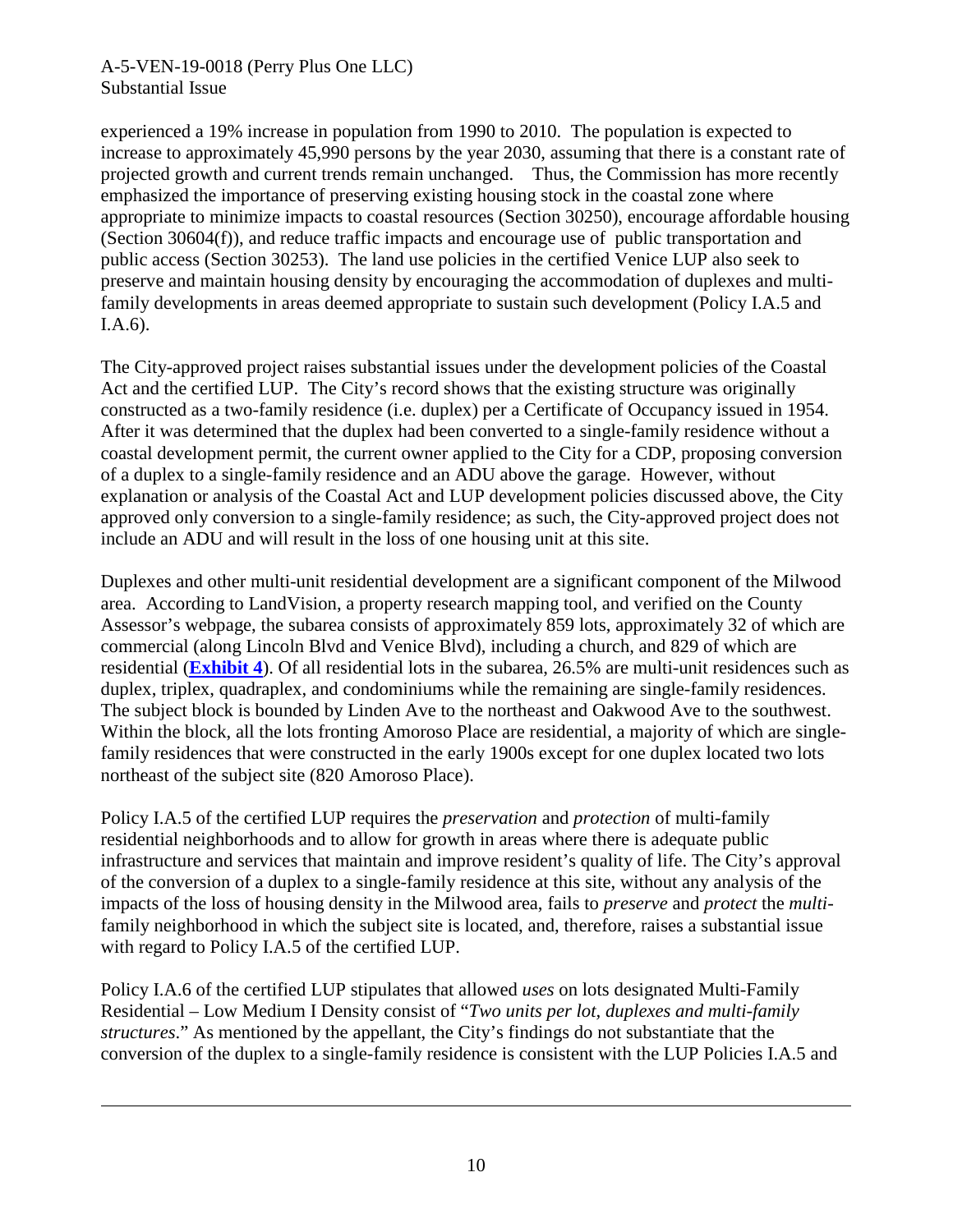#### A-5-VEN-19-0018 (Perry Plus One LLC) Substantial Issue

-

experienced a 19% increase in population from 1990 to 2010. The population is expected to increase to approximately 45,990 persons by the year 2030, assuming that there is a constant rate of projected growth and current trends remain unchanged. Thus, the Commission has more recently emphasized the importance of preserving existing housing stock in the coastal zone where appropriate to minimize impacts to coastal resources (Section 30250), encourage affordable housing (Section 30604(f)), and reduce traffic impacts and encourage use of public transportation and public access (Section 30253). The land use policies in the certified Venice LUP also seek to preserve and maintain housing density by encouraging the accommodation of duplexes and multifamily developments in areas deemed appropriate to sustain such development (Policy I.A.5 and I.A.6).

The City-approved project raises substantial issues under the development policies of the Coastal Act and the certified LUP. The City's record shows that the existing structure was originally constructed as a two-family residence (i.e. duplex) per a Certificate of Occupancy issued in 1954. After it was determined that the duplex had been converted to a single-family residence without a coastal development permit, the current owner applied to the City for a CDP, proposing conversion of a duplex to a single-family residence and an ADU above the garage. However, without explanation or analysis of the Coastal Act and LUP development policies discussed above, the City approved only conversion to a single-family residence; as such, the City-approved project does not include an ADU and will result in the loss of one housing unit at this site.

Duplexes and other multi-unit residential development are a significant component of the Milwood area. According to LandVision, a property research mapping tool, and verified on the County Assessor's webpage, the subarea consists of approximately 859 lots, approximately 32 of which are commercial (along Lincoln Blvd and Venice Blvd), including a church, and 829 of which are residential (**[Exhibit 4](https://documents.coastal.ca.gov/reports/2019/5/w15a/w15a-5-2019-exhibits.pdf)**). Of all residential lots in the subarea, 26.5% are multi-unit residences such as duplex, triplex, quadraplex, and condominiums while the remaining are single-family residences. The subject block is bounded by Linden Ave to the northeast and Oakwood Ave to the southwest. Within the block, all the lots fronting Amoroso Place are residential, a majority of which are singlefamily residences that were constructed in the early 1900s except for one duplex located two lots northeast of the subject site (820 Amoroso Place).

Policy I.A.5 of the certified LUP requires the *preservation* and *protection* of multi-family residential neighborhoods and to allow for growth in areas where there is adequate public infrastructure and services that maintain and improve resident's quality of life. The City's approval of the conversion of a duplex to a single-family residence at this site, without any analysis of the impacts of the loss of housing density in the Milwood area, fails to *preserve* and *protect* the *multi*family neighborhood in which the subject site is located, and, therefore, raises a substantial issue with regard to Policy I.A.5 of the certified LUP.

Policy I.A.6 of the certified LUP stipulates that allowed *uses* on lots designated Multi-Family Residential – Low Medium I Density consist of "*Two units per lot, duplexes and multi-family structures*." As mentioned by the appellant, the City's findings do not substantiate that the conversion of the duplex to a single-family residence is consistent with the LUP Policies I.A.5 and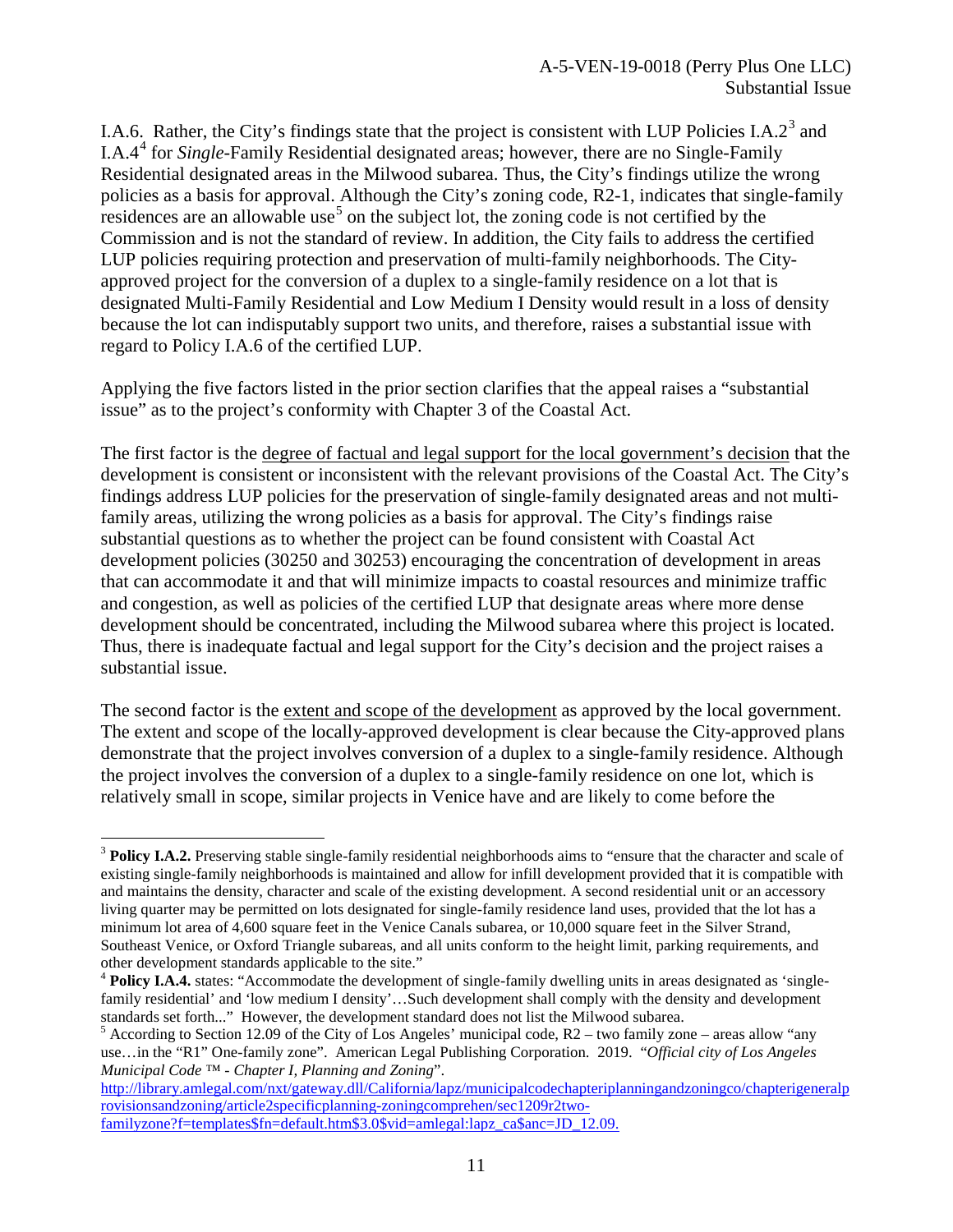I.A.6. Rather, the City's findings state that the project is consistent with LUP Policies I.A.2<sup>[3](#page-10-0)</sup> and I.A.4[4](#page-10-1) for *Single*-Family Residential designated areas; however, there are no Single-Family Residential designated areas in the Milwood subarea. Thus, the City's findings utilize the wrong policies as a basis for approval. Although the City's zoning code, R2-1, indicates that single-family residences are an allowable use<sup>[5](#page-10-2)</sup> on the subject lot, the zoning code is not certified by the Commission and is not the standard of review. In addition, the City fails to address the certified LUP policies requiring protection and preservation of multi-family neighborhoods. The Cityapproved project for the conversion of a duplex to a single-family residence on a lot that is designated Multi-Family Residential and Low Medium I Density would result in a loss of density because the lot can indisputably support two units, and therefore, raises a substantial issue with regard to Policy I.A.6 of the certified LUP.

Applying the five factors listed in the prior section clarifies that the appeal raises a "substantial issue" as to the project's conformity with Chapter 3 of the Coastal Act.

The first factor is the degree of factual and legal support for the local government's decision that the development is consistent or inconsistent with the relevant provisions of the Coastal Act. The City's findings address LUP policies for the preservation of single-family designated areas and not multifamily areas, utilizing the wrong policies as a basis for approval. The City's findings raise substantial questions as to whether the project can be found consistent with Coastal Act development policies (30250 and 30253) encouraging the concentration of development in areas that can accommodate it and that will minimize impacts to coastal resources and minimize traffic and congestion, as well as policies of the certified LUP that designate areas where more dense development should be concentrated, including the Milwood subarea where this project is located. Thus, there is inadequate factual and legal support for the City's decision and the project raises a substantial issue.

The second factor is the extent and scope of the development as approved by the local government. The extent and scope of the locally-approved development is clear because the City-approved plans demonstrate that the project involves conversion of a duplex to a single-family residence. Although the project involves the conversion of a duplex to a single-family residence on one lot, which is relatively small in scope, similar projects in Venice have and are likely to come before the

<span id="page-10-0"></span> $\overline{a}$ <sup>3</sup> **Policy I.A.2.** Preserving stable single-family residential neighborhoods aims to "ensure that the character and scale of existing single-family neighborhoods is maintained and allow for infill development provided that it is compatible with and maintains the density, character and scale of the existing development. A second residential unit or an accessory living quarter may be permitted on lots designated for single-family residence land uses, provided that the lot has a minimum lot area of 4,600 square feet in the Venice Canals subarea, or 10,000 square feet in the Silver Strand, Southeast Venice, or Oxford Triangle subareas, and all units conform to the height limit, parking requirements, and other development standards applicable to the site."<br><sup>4</sup> **Policy I.A.4.** states: "Accommodate the development of single-family dwelling units in areas designated as 'single-

<span id="page-10-1"></span>family residential' and 'low medium I density'…Such development shall comply with the density and development standards set forth..." However, the development standard does not list the Milwood subarea.<br><sup>5</sup> According to Section 12.09 of the City of Los Angeles' municipal code, R2 – two family zone – areas allow "any

<span id="page-10-2"></span>use…in the "R1" One-family zone". American Legal Publishing Corporation. 2019. "*Official city of Los Angeles Municipal Code ™ - Chapter I, Planning and Zoning*".

[http://library.amlegal.com/nxt/gateway.dll/California/lapz/municipalcodechapteriplanningandzoningco/chapterigeneralp](http://library.amlegal.com/nxt/gateway.dll/California/lapz/municipalcodechapteriplanningandzoningco/chapterigeneralprovisionsandzoning/article2specificplanning-zoningcomprehen/sec1209r2two-familyzone?f=templates$fn=default.htm$3.0$vid=amlegal:lapz_ca$anc=JD_12.09.) [rovisionsandzoning/article2specificplanning-zoningcomprehen/sec1209r2two-](http://library.amlegal.com/nxt/gateway.dll/California/lapz/municipalcodechapteriplanningandzoningco/chapterigeneralprovisionsandzoning/article2specificplanning-zoningcomprehen/sec1209r2two-familyzone?f=templates$fn=default.htm$3.0$vid=amlegal:lapz_ca$anc=JD_12.09.)

[familyzone?f=templates\\$fn=default.htm\\$3.0\\$vid=amlegal:lapz\\_ca\\$anc=JD\\_12.09.](http://library.amlegal.com/nxt/gateway.dll/California/lapz/municipalcodechapteriplanningandzoningco/chapterigeneralprovisionsandzoning/article2specificplanning-zoningcomprehen/sec1209r2two-familyzone?f=templates$fn=default.htm$3.0$vid=amlegal:lapz_ca$anc=JD_12.09.)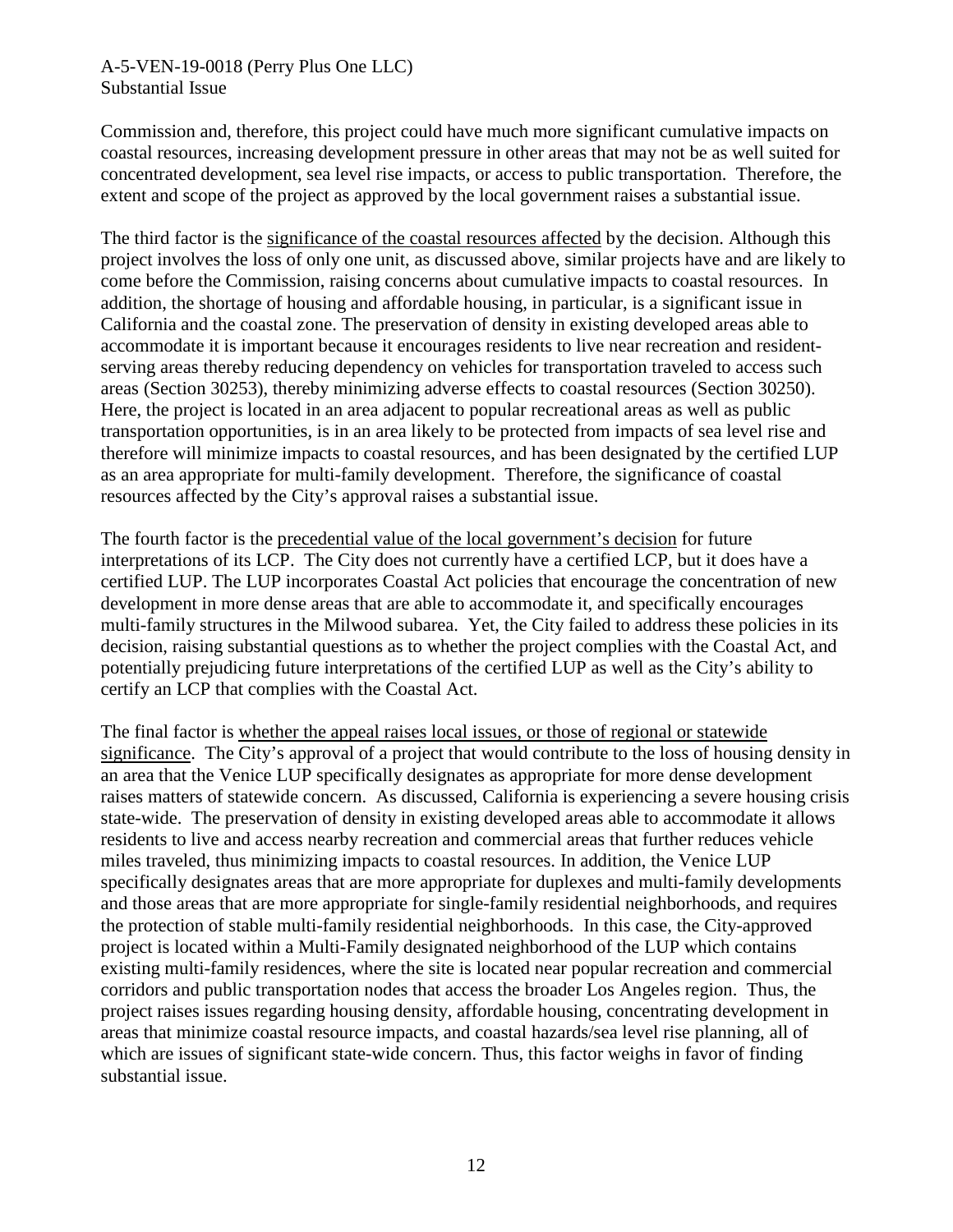#### A-5-VEN-19-0018 (Perry Plus One LLC) Substantial Issue

Commission and, therefore, this project could have much more significant cumulative impacts on coastal resources, increasing development pressure in other areas that may not be as well suited for concentrated development, sea level rise impacts, or access to public transportation. Therefore, the extent and scope of the project as approved by the local government raises a substantial issue.

The third factor is the significance of the coastal resources affected by the decision. Although this project involves the loss of only one unit, as discussed above, similar projects have and are likely to come before the Commission, raising concerns about cumulative impacts to coastal resources. In addition, the shortage of housing and affordable housing, in particular, is a significant issue in California and the coastal zone. The preservation of density in existing developed areas able to accommodate it is important because it encourages residents to live near recreation and residentserving areas thereby reducing dependency on vehicles for transportation traveled to access such areas (Section 30253), thereby minimizing adverse effects to coastal resources (Section 30250). Here, the project is located in an area adjacent to popular recreational areas as well as public transportation opportunities, is in an area likely to be protected from impacts of sea level rise and therefore will minimize impacts to coastal resources, and has been designated by the certified LUP as an area appropriate for multi-family development. Therefore, the significance of coastal resources affected by the City's approval raises a substantial issue.

The fourth factor is the precedential value of the local government's decision for future interpretations of its LCP. The City does not currently have a certified LCP, but it does have a certified LUP. The LUP incorporates Coastal Act policies that encourage the concentration of new development in more dense areas that are able to accommodate it, and specifically encourages multi-family structures in the Milwood subarea. Yet, the City failed to address these policies in its decision, raising substantial questions as to whether the project complies with the Coastal Act, and potentially prejudicing future interpretations of the certified LUP as well as the City's ability to certify an LCP that complies with the Coastal Act.

The final factor is whether the appeal raises local issues, or those of regional or statewide significance. The City's approval of a project that would contribute to the loss of housing density in an area that the Venice LUP specifically designates as appropriate for more dense development raises matters of statewide concern. As discussed, California is experiencing a severe housing crisis state-wide. The preservation of density in existing developed areas able to accommodate it allows residents to live and access nearby recreation and commercial areas that further reduces vehicle miles traveled, thus minimizing impacts to coastal resources. In addition, the Venice LUP specifically designates areas that are more appropriate for duplexes and multi-family developments and those areas that are more appropriate for single-family residential neighborhoods, and requires the protection of stable multi-family residential neighborhoods. In this case, the City-approved project is located within a Multi-Family designated neighborhood of the LUP which contains existing multi-family residences, where the site is located near popular recreation and commercial corridors and public transportation nodes that access the broader Los Angeles region. Thus, the project raises issues regarding housing density, affordable housing, concentrating development in areas that minimize coastal resource impacts, and coastal hazards/sea level rise planning, all of which are issues of significant state-wide concern. Thus, this factor weighs in favor of finding substantial issue.